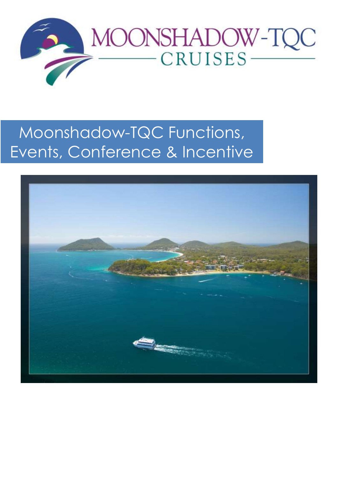

# Moonshadow-TQC Functions, Events, Conference & Incentive

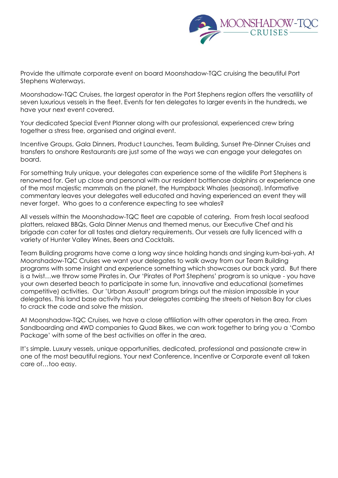

Provide the ultimate corporate event on board Moonshadow-TQC cruising the beautiful Port Stephens Waterways.

Moonshadow-TQC Cruises, the largest operator in the Port Stephens region offers the versatility of seven luxurious vessels in the fleet. Events for ten delegates to larger events in the hundreds, we have your next event covered.

Your dedicated Special Event Planner along with our professional, experienced crew bring together a stress free, organised and original event.

Incentive Groups, Gala Dinners, Product Launches, Team Building, Sunset Pre-Dinner Cruises and transfers to onshore Restaurants are just some of the ways we can engage your delegates on board.

For something truly unique, your delegates can experience some of the wildlife Port Stephens is renowned for. Get up close and personal with our resident bottlenose dolphins or experience one of the most majestic mammals on the planet, the Humpback Whales (seasonal). Informative commentary leaves your delegates well educated and having experienced an event they will never forget. Who goes to a conference expecting to see whales?

All vessels within the Moonshadow-TQC fleet are capable of catering. From fresh local seafood platters, relaxed BBQs, Gala Dinner Menus and themed menus, our Executive Chef and his brigade can cater for all tastes and dietary requirements. Our vessels are fully licenced with a variety of Hunter Valley Wines, Beers and Cocktails.

Team Building programs have come a long way since holding hands and singing kum-bai-yah. At Moonshadow-TQC Cruises we want your delegates to walk away from our Team Building programs with some insight and experience something which showcases our back yard. But there is a twist…we throw some Pirates in. Our 'Pirates of Port Stephens' program is so unique - you have your own deserted beach to participate in some fun, innovative and educational (sometimes competitive) activities. Our 'Urban Assault' program brings out the mission impossible in your delegates. This land base activity has your delegates combing the streets of Nelson Bay for clues to crack the code and solve the mission.

At Moonshadow-TQC Cruises, we have a close affiliation with other operators in the area. From Sandboarding and 4WD companies to Quad Bikes, we can work together to bring you a 'Combo Package' with some of the best activities on offer in the area.

It's simple. Luxury vessels, unique opportunities, dedicated, professional and passionate crew in one of the most beautiful regions. Your next Conference, Incentive or Corporate event all taken care of…too easy.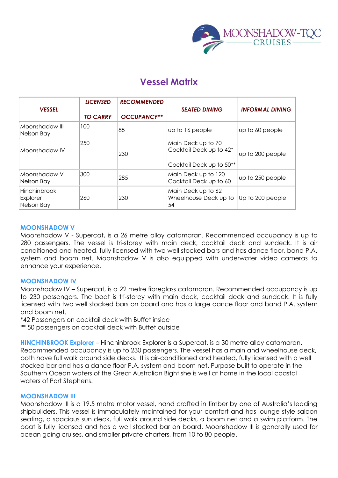

### **Vessel Matrix**

| <b>VESSEL</b>                                 | <b>LICENSED</b><br><b>TO CARRY</b> | <b>RECOMMENDED</b><br><b>OCCUPANCY**</b> | <b>SEATED DINING</b>                                                      | <b>INFORMAL DINING</b> |
|-----------------------------------------------|------------------------------------|------------------------------------------|---------------------------------------------------------------------------|------------------------|
| Moonshadow III<br>Nelson Bay                  | 100                                | 85                                       | up to 16 people                                                           | up to 60 people        |
| Moonshadow IV                                 | 250                                | 230                                      | Main Deck up to 70<br>Cocktail Deck up to 42*<br>Cocktail Deck up to 50** | up to 200 people       |
| Moonshadow V<br>Nelson Bay                    | 300                                | 285                                      | Main Deck up to 120<br>Cocktail Deck up to 60                             | up to 250 people       |
| <b>Hinchinbrook</b><br>Explorer<br>Nelson Bay | 260                                | 230                                      | Main Deck up to 62<br>Wheelhouse Deck up to<br>54                         | Up to 200 people       |

#### **MOONSHADOW V**

Moonshadow V - Supercat, is a 26 metre alloy catamaran. Recommended occupancy is up to 280 passengers. The vessel is tri-storey with main deck, cocktail deck and sundeck. It is air conditioned and heated, fully licensed with two well stocked bars and has dance floor, band P.A. system and boom net. Moonshadow V is also equipped with underwater video cameras to enhance your experience.

#### **MOONSHADOW IV**

Moonshadow IV – Supercat, is a 22 metre fibreglass catamaran. Recommended occupancy is up to 230 passengers. The boat is tri-storey with main deck, cocktail deck and sundeck. It is fully licensed with two well stocked bars on board and has a large dance floor and band P.A. system and boom net.

\*42 Passengers on cocktail deck with Buffet inside

\*\* 50 passengers on cocktail deck with Buffet outside

**HINCHINBROOK Explorer** – Hinchinbrook Explorer is a Supercat, is a 30 metre alloy catamaran. Recommended occupancy is up to 230 passengers. The vessel has a main and wheelhouse deck, both have full walk around side decks. It is air-conditioned and heated, fully licensed with a well stocked bar and has a dance floor P.A. system and boom net. Purpose built to operate in the Southern Ocean waters of the Great Australian Bight she is well at home in the local coastal waters of Port Stephens.

#### **MOONSHADOW III**

Moonshadow III is a 19.5 metre motor vessel, hand crafted in timber by one of Australia's leading shipbuilders. This vessel is immaculately maintained for your comfort and has lounge style saloon seating, a spacious sun deck, full walk around side decks, a boom net and a swim platform. The boat is fully licensed and has a well stocked bar on board. Moonshadow III is generally used for ocean going cruises, and smaller private charters, from 10 to 80 people.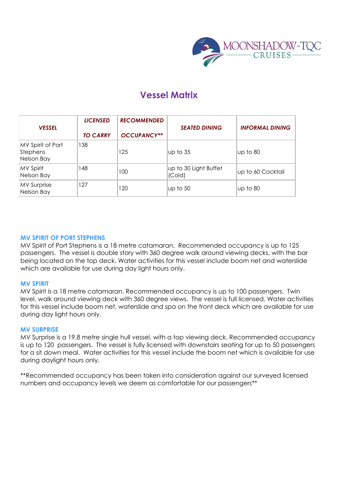

### **Vessel Matrix**

| <b>VESSEL</b>                                      | <b>LICENSED</b> | <b>RECOMMENDED</b> | <b>SEATED DINING</b>            | <b>INFORMAL DINING</b> |
|----------------------------------------------------|-----------------|--------------------|---------------------------------|------------------------|
|                                                    | <b>TO CARRY</b> | <b>OCCUPANCY**</b> |                                 |                        |
| MV Spirit of Port<br><b>Stephens</b><br>Nelson Bay | 138             | 125                | up to 35                        | up to 80               |
| <b>MV Spirit</b><br>Nelson Bay                     | 148             | 100                | up to 30 Light Buffet<br>(Cold) | up to 60 Cocktail      |
| <b>MV Surprise</b><br>Nelson Bay                   | 127             | 120                | up to 50                        | up to 80               |

#### **MV SPIRIT OF PORT STEPHENS**

MV Spirit of Port Stephens is a 18 metre catamaran. Recommended occupancy is up to 125 passengers. The vessel is double story with 360 degree walk around viewing decks, with the bar being located on the top deck. Water activities for this vessel include boom net and waterslide which are available for use during day light hours only.

#### **MV SPIRIT**

MV Spirit is a 18 metre catamaran. Recommended occupancy is up to 100 passengers. Twin level, walk around viewing deck with 360 degree views. The vessel is full licensed. Water activities for this vessel include boom net, waterslide and spa on the front deck which are available for use during day light hours only.

#### **MV SURPRISE**

MV Surprise is a 19.8 metre single hull vessel, with a top viewing deck. Recommended occupancy is up to 120 passengers. The vessel is fully licensed with downstairs seating for up to 50 passengers for a sit down meal. Water activities for this vessel include the boom net which is available for use during daylight hours only.

\*\*Recommended occupancy has been taken into consideration against our surveyed licensed numbers and occupancy levels we deem as comfortable for our passengers\*\*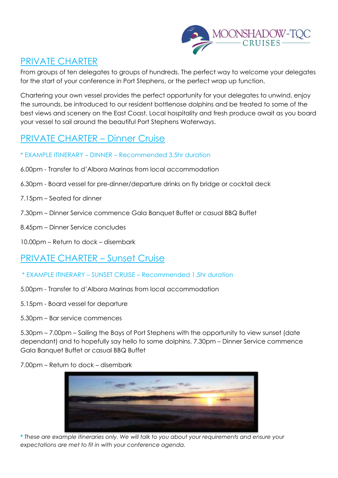

### PRIVATE CHARTER

From groups of ten delegates to groups of hundreds. The perfect way to welcome your delegates for the start of your conference in Port Stephens, or the perfect wrap up function.

Chartering your own vessel provides the perfect opportunity for your delegates to unwind, enjoy the surrounds, be introduced to our resident bottlenose dolphins and be treated to some of the best views and scenery on the East Coast. Local hospitality and fresh produce await as you board your vessel to sail around the beautiful Port Stephens Waterways.

# PRIVATE CHARTER – Dinner Cruise

- \* EXAMPLE ITINERARY DINNER Recommended 3.5hr duration
- 6.00pm Transfer to d'Albora Marinas from local accommodation
- 6.30pm Board vessel for pre-dinner/departure drinks on fly bridge or cocktail deck
- 7.15pm Seated for dinner
- 7.30pm Dinner Service commence Gala Banquet Buffet or casual BBQ Buffet
- 8.45pm Dinner Service concludes
- 10.00pm Return to dock disembark

### PRIVATE CHARTER – Sunset Cruise

- \* EXAMPLE ITINERARY SUNSET CRUISE Recommended 1.5hr duration
- 5.00pm Transfer to d'Albora Marinas from local accommodation
- 5.15pm Board vessel for departure
- 5.30pm Bar service commences

5.30pm – 7.00pm – Sailing the Bays of Port Stephens with the opportunity to view sunset (date dependant) and to hopefully say hello to some dolphins. 7.30pm – Dinner Service commence Gala Banquet Buffet or casual BBQ Buffet

7.00pm – Return to dock – disembark



**\*** *These are example itineraries only. We will talk to you about your requirements and ensure your expectations are met to fit in with your conference agenda.*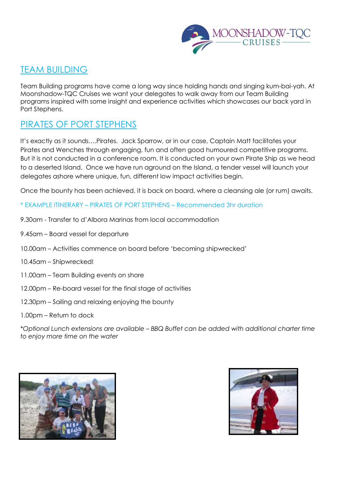

#### TEAM BUILDING

Team Building programs have come a long way since holding hands and singing kum-bai-yah. At Moonshadow-TQC Cruises we want your delegates to walk away from our Team Building programs inspired with some insight and experience activities which showcases our back yard in Port Stephens.

### PIRATES OF PORT STEPHENS

It's exactly as it sounds….Pirates. Jack Sparrow, or in our case, Captain Matt facilitates your Pirates and Wenches through engaging, fun and often good humoured competitive programs. But it is not conducted in a conference room. It is conducted on your own Pirate Ship as we head to a deserted Island. Once we have run aground on the Island, a tender vessel will launch your delegates ashore where unique, fun, different low impact activities begin.

Once the bounty has been achieved, it is back on board, where a cleansing ale (or rum) awaits.

- \* EXAMPLE ITINERARY PIRATES OF PORT STEPHENS Recommended 3hr duration
- 9.30am Transfer to d'Albora Marinas from local accommodation
- 9.45am Board vessel for departure
- 10.00am Activities commence on board before 'becoming shipwrecked'
- 10.45am Shipwrecked!
- 11.00am Team Building events on shore
- 12.00pm Re-board vessel for the final stage of activities
- 12.30pm Sailing and relaxing enjoying the bounty
- 1.00pm Return to dock

\**Optional Lunch extensions are available – BBQ Buffet can be added with additional charter time to enjoy more time on the water*



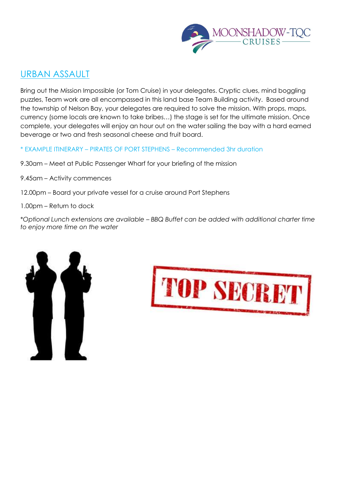

### URBAN ASSAULT

Bring out the Mission Impossible (or Tom Cruise) in your delegates. Cryptic clues, mind boggling puzzles, Team work are all encompassed in this land base Team Building activity. Based around the township of Nelson Bay, your delegates are required to solve the mission. With props, maps, currency (some locals are known to take bribes…) the stage is set for the ultimate mission. Once complete, your delegates will enjoy an hour out on the water sailing the bay with a hard earned beverage or two and fresh seasonal cheese and fruit board.

- \* EXAMPLE ITINERARY PIRATES OF PORT STEPHENS Recommended 3hr duration
- 9.30am Meet at Public Passenger Wharf for your briefing of the mission
- 9.45am Activity commences
- 12.00pm Board your private vessel for a cruise around Port Stephens
- 1.00pm Return to dock

\**Optional Lunch extensions are available – BBQ Buffet can be added with additional charter time to enjoy more time on the water*



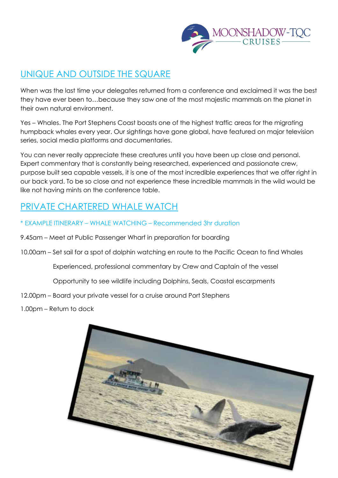

# UNIQUE AND OUTSIDE THE SQUARE

When was the last time your delegates returned from a conference and exclaimed it was the best they have ever been to…because they saw one of the most majestic mammals on the planet in their own natural environment.

Yes – Whales. The Port Stephens Coast boasts one of the highest traffic areas for the migrating humpback whales every year. Our sightings have gone global, have featured on major television series, social media platforms and documentaries.

You can never really appreciate these creatures until you have been up close and personal. Expert commentary that is constantly being researched, experienced and passionate crew, purpose built sea capable vessels, it is one of the most incredible experiences that we offer right in our back yard. To be so close and not experience these incredible mammals in the wild would be like not having mints on the conference table.

# PRIVATE CHARTERED WHALE WATCH

- \* EXAMPLE ITINERARY WHALE WATCHING Recommended 3hr duration
- 9.45am Meet at Public Passenger Wharf in preparation for boarding
- 10.00am Set sail for a spot of dolphin watching en route to the Pacific Ocean to find Whales

Experienced, professional commentary by Crew and Captain of the vessel

Opportunity to see wildlife including Dolphins, Seals, Coastal escarpments

12.00pm – Board your private vessel for a cruise around Port Stephens

1.00pm – Return to dock